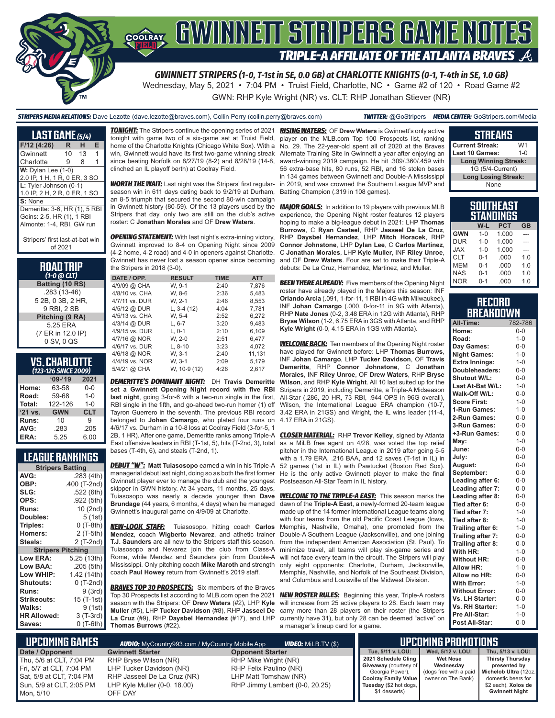

Wednesday, May 5, 2021 • 7:04 PM • Truist Field, Charlotte, NC • Game #2 of 120 • Road Game #2

GWN: RHP Kyle Wright (NR) vs. CLT: RHP Jonathan Stiever (NR)

### *STRIPERS MEDIA RELATIONS:* Dave Lezotte (dave.lezotte@braves.com), Collin Perry (collin.perry@braves.com) *TWITTER:* @GoStripers *MEDIA CENTER:* GoStripers.com/Media

**LAST GAME** *(5/4)* **F/12 (4:26) R H E** Gwinnett 10 13 1 Charlotte 9 8 1 **W:** Dylan Lee (1-0) 2.0 IP, 1 H, 1 R, 0 ER, 3 SO **L:** Tyler Johnson (0-1) 1.0 IP, 2 H, 2 R, 0 ER, 1 SO **S:** None Demeritte: 3-6, HR (1), 5 RBI Goins: 2-5, HR (1), 1 RBI Almonte: 1-4, RBI, GW run

Stripers' first last-at-bat win of 2021

#### **ROAD TRIP**  *(1-0 @ CLT)*

**Batting (10 RS)** .283 (13-46) 5 2B, 0 3B, 2 HR, 9 RBI, 2 SB **Pitching (9 RA)** 5.25 ERA (7 ER in 12.0 IP) 0 SV, 0 QS

#### **VS. CHARLOTTE**  *(123-126 SINCE 2009)*

| -----      |            |
|------------|------------|
| $09 - 19$  | 2021       |
| 63-58      | $0-0$      |
| 59-68      | $1 - 0$    |
| 122-126    | $1 - 0$    |
| <b>GWN</b> | <b>CLT</b> |
| 10         | g          |
| .283       | .205       |
| 5.25       | 6.00       |
|            |            |

## **LEAGUE RANKINGS**

| <b>Stripers Batting</b>  |              |
|--------------------------|--------------|
| AVG:                     | .283 (4th)   |
| OBP:                     | .400 (T-2nd) |
| SLG:                     | .522 (6th)   |
| OPS:                     | .922 (5th)   |
| <b>Runs:</b>             | 10 (2nd)     |
| <b>Doubles:</b>          | 5(1st)       |
| Triples:                 | $0(T-8th)$   |
| Homers:                  | 2 (T-5th)    |
| Steals:                  | 2 (T-2nd)    |
| <b>Stripers Pitching</b> |              |
| <b>Low ERA:</b>          | 5.25 (13th)  |
| Low BAA:                 | .205 (5th)   |
| Low WHIP:                | 1.42 (14th)  |
| <b>Shutouts:</b>         | $0($ T-2nd)  |
| <b>Runs:</b>             | 9(3rd)       |
| Strikeouts:              | 15 (T-1st)   |
| Walks:                   | 9 (1st)      |
| <b>HR Allowed:</b>       | 3 (T-3rd)    |
| Saves:                   | 0 (T-6th)    |

*TONIGHT:* The Stripers continue the opening series of 2021 tonight with game two of a six-game set at Truist Field, home of the Charlotte Knights (Chicago White Sox). With a win, Gwinnett would have its first two-game winning streak since beating Norfolk on 8/27/19 (8-2) and 8/28/19 (14-8, clinched an IL playoff berth) at Coolray Field.

*WORTH THE WAIT:* Last night was the Stripers' first regularseason win in 611 days dating back to 9/2/19 at Durham, an 8-5 triumph that secured the second 80-win campaign in Gwinnett history (80-59). Of the 13 players used by the Stripers that day, only two are still on the club's active roster: C **Jonathan Morales** and OF **Drew Waters**.

**OPENING STATEMENT:** With last night's extra-inning victory, Gwinnett improved to 8-4 on Opening Night since 2009 (4-2 home, 4-2 road) and 4-0 in openers against Charlotte. Gwinnett has never lost a season opener since becoming the Stripers in 2018 (3-0).

| DATE / OPP.    | <b>RESULT</b> | <b>TIME</b> | <b>ATT</b> |
|----------------|---------------|-------------|------------|
| 4/9/09 @ CHA   | W. 9-1        | 2:40        | 7,876      |
| 4/8/10 vs. CHA | W. 8-6        | 2:36        | 5,483      |
| 4/7/11 vs. DUR | W. 2-1        | 2:46        | 8,553      |
| 4/5/12 @ DUR   | L, $3-4(12)$  | 4:04        | 7,781      |
| 4/5/13 vs. CHA | W. 5-4        | 2:52        | 6.272      |
| 4/3/14 @ DUR   | $L. 6-7$      | 3:20        | 9.483      |
| 4/9/15 vs. DUR | $L.0-1$       | 2:10        | 6.109      |
| 4/7/16 @ NOR   | W. 2-0        | 2:51        | 6.477      |
| 4/6/17 vs. DUR | $L, 8-10$     | 3:23        | 4,072      |
| 4/6/18 @ NOR   | W. 3-1        | 2:40        | 11,131     |
| 4/4/19 vs. NOR | W. 3-1        | 2:09        | 5,179      |
| 5/4/21 @ CHA   | W, 10-9 (12)  | 4:26        | 2.617      |

*DEMERITTE'S DOMINANT NIGHT:* DH **Travis Demeritte set a Gwinnett Opening Night record with five RBI last night**, going 3-for-6 with a two-run single in the first, RBI single in the fifth, and go-ahead two-run homer (1) off Tayron Guerrero in the seventh. The previous RBI record belonged to **Johan Camargo**, who plated four runs on 4/6/17 vs. Durham in a 10-8 loss at Coolray Field (3-for-5, 1 2B, 1 HR). After one game, Demeritte ranks among Triple-A bases (T-4th, 6), and steals (T-2nd, 1).

*DEBUT "W":* **Matt Tuiasosopo** earned a win in his Triple-A managerial debut last night, doing so as both the first former Gwinnett player ever to manage the club and the youngest skipper in GWN history. At 34 years, 11 months, 25 days, Tuiasosopo was nearly a decade younger than **Dave Brundage** (44 years, 6 months, 4 days) when he managed Gwinnett's inaugural game on 4/9/09 at Charlotte.

*NEW-LOOK STAFF:* Tuiasosopo, hitting coach **Carlos Mendez**, coach **Wigberto Nevarez**, and atlhetic trainer **T.J. Saunders** are all new to the Stripers staff this season. Tuiasosopo and Nevarez join the club from Class-A Rome, while Mendez and Saunders join from Double-A Mississippi. Only pitching coach **Mike Maroth** and strength coach **Paul Howey** return from Gwinnett's 2019 staff.

**BRAVES TOP 30 PROSPECTS:** Six members of the Braves Top 30 Prospects list according to MLB.com open the 2021 season with the Stripers: OF **Drew Waters** (#2), LHP **Kyle Muller** (#5), LHP **Tucker Davidson** (#8), RHP **Jasseel De La Cruz** (#9), RHP **Daysbel Hernandez** (#17), and LHP **Thomas Burrows** (#22).

*RISING WATERS:* OF **Drew Waters** is Gwinnett's only active player on the MLB.com Top 100 Prospects list, ranking No. 29. The 22-year-old spent all of 2020 at the Braves Alternate Training Site in Gwinnett a year after enjoying an award-winning 2019 campaign. He hit .309/.360/.459 with 56 extra-base hits, 80 runs, 52 RBI, and 16 stolen bases in 134 games between Gwinnett and Double-A Mississippi in 2019, and was crowned the Southern League MVP and Batting Champion (.319 in 108 games).

*MAJOR GOALS:* In addition to 19 players with previous MLB experience, the Opening Night roster features 12 players hoping to make a big-league debut in 2021: LHP **Thomas Burrows**, C **Ryan Casteel**, RHP **Jasseel De La Cruz**, RHP **Daysbel Hernandez**, LHP **Mitch Horacek**, RHP **Connor Johnstone**, LHP **Dylan Lee**, C **Carlos Martinez**, C **Jonathan Morales**, LHP **Kyle Muller**, INF **Riley Unroe**, and OF **Drew Waters**. Four are set to make their Triple-A debuts: De La Cruz, Hernandez, Martinez, and Muller.

**BEEN THERE ALREADY:** Five members of the Opening Night roster have already played in the Majors this season: INF **Orlando Arcia** (.091, 1-for-11, 1 RBI in 4G with Milwaukee), INF **Johan Camargo** (.000, 0-for-11 in 9G with Atlanta), RHP **Nate Jones** (0-2, 3.48 ERA in 12G with Atlanta), RHP **Bryse Wilson** (1-2, 6.75 ERA in 3GS with Atlanta, and RHP **Kyle Wright** (0-0, 4.15 ERA in 1GS with Atlanta).

**WELCOME BACK:** Ten members of the Opening Night roster have played for Gwinnett before: LHP **Thomas Burrows**, INF **Johan Camargo**, LHP **Tucker Davidson**, OF **Travis Demeritte**, RHP **Connor Johnstone**, C **Jonathan Morales**, INF **Riley Unroe**, OF **Drew Waters**, RHP **Bryse Wilson**, and RHP **Kyle Wright**. All 10 last suited up for the Stripers in 2019, including Demeritte, a Triple-A Midseason All-Star (.286, 20 HR, 73 RBI, .944 OPS in 96G overall), Wilson, the International League ERA champion (10-7, 3.42 ERA in 21GS) and Wright, the IL wins leader (11-4, 4.17 ERA in 21GS).

East offensive leaders in RBI (T-1st, 5), hits (T-2nd, 3), total as a MiLB free agent on 4/28, was voted the top relief *CLOSER MATERIAL:* RHP **Trevor Kelley**, signed by Atlanta pitcher in the International League in 2019 after going 5-5 with a 1.79 ERA, .216 BAA, and 12 saves  $(T-1)$  in  $IL$ ) in 52 games (1st in IL) with Pawtucket (Boston Red Sox). He is the only active Gwinnett player to make the final Postseason All-Star Team in IL history.

> *WELCOME TO THE TRIPLE-A EAST:* This season marks the dawn of the **Triple-A East**, a newly-formed 20-team league made up of the 14 former International League teams along with four teams from the old Pacific Coast League (Iowa, Memphis, Nashville, Omaha), one promoted from the Double-A Southern League (Jacksonville), and one joining from the independent American Association (St. Paul). To minimize travel, all teams will play six-game series and will not face every team in the circuit. The Stripers will play only eight opponents: Charlotte, Durham, Jacksonville, Memphis, Nashville, and Norfolk of the Southeast Division, and Columbus and Louisville of the Midwest Division.

> *NEW ROSTER RULES:* Beginning this year, Triple-A rosters will increase from 25 active players to 28. Each team may carry more than 28 players on their roster (the Stripers currently have 31), but only 28 can be deemed "active" on a manager's lineup card for a game.

| JIIILAIIU                   |                |  |  |  |  |
|-----------------------------|----------------|--|--|--|--|
| <b>Current Streak:</b>      | W <sub>1</sub> |  |  |  |  |
| Last 10 Games:              | $1 - \Omega$   |  |  |  |  |
| <b>Long Winning Streak:</b> |                |  |  |  |  |
| 1G (5/4-Current)            |                |  |  |  |  |
| <b>Long Losing Streak:</b>  |                |  |  |  |  |
| None                        |                |  |  |  |  |
|                             |                |  |  |  |  |
| <b>SOUTHEAST</b>            |                |  |  |  |  |

**STREAKS**

| 明阳节<br>SIAN |         |            |           |  |  |  |  |
|-------------|---------|------------|-----------|--|--|--|--|
|             | W-L     | <b>PCT</b> | <b>GB</b> |  |  |  |  |
| <b>GWN</b>  | $1 - 0$ | 1.000      |           |  |  |  |  |
| <b>DUR</b>  | $1 - 0$ | 1.000      |           |  |  |  |  |
| <b>XAL</b>  | $1 - 0$ | 1.000      |           |  |  |  |  |
| <b>CLT</b>  | $0 - 1$ | .000       | 1.0       |  |  |  |  |
| <b>MEM</b>  | $0 - 1$ | .000       | 1.0       |  |  |  |  |
| <b>NAS</b>  | $0 - 1$ | .000       | 1.0       |  |  |  |  |
| <b>NOR</b>  | $0 - 1$ | .000       | 1.0       |  |  |  |  |

## **RECORD BREAKDOWN**

| All-Time:             | 782-786 |
|-----------------------|---------|
| Home:                 | $0 - 0$ |
| Road:                 | $1 - 0$ |
| Day Games:            | $0-0$   |
| <b>Night Games:</b>   | $1 - 0$ |
| <b>Extra Innings:</b> | $1 - 0$ |
| Doubleheaders:        | $0-0$   |
| Shutout W/L:          | $0-0$   |
| Last At-Bat W/L:      | $1 - 0$ |
| Walk-Off W/L:         | $0 - 0$ |
| <b>Score First:</b>   | $1 - 0$ |
| 1-Run Games:          | $1 - 0$ |
| 2-Run Games:          | $0 - 0$ |
| 3-Run Games:          | $0 - 0$ |
| +3-Run Games:         | $0-0$   |
| May:                  | $1 - 0$ |
| June:                 | $0-0$   |
| July:                 | $0-0$   |
| August:               | $0-0$   |
| September:            | $0-0$   |
| Leading after 6:      | $0 - 0$ |
| Leading after 7:      | $0 - 0$ |
| Leading after 8:      | $0-0$   |
| Tied after 6:         | $0 - 0$ |
| Tied after 7:         | $1 - 0$ |
| Tied after 8:         | $1 - 0$ |
| Trailing after 6:     | $1 - 0$ |
| Trailing after 7:     | $0 - 0$ |
| Trailing after 8:     | $0 - 0$ |
| With HR:              | $1 - 0$ |
| <b>Without HR:</b>    | $0-0$   |
| <b>Allow HR:</b>      | $1 - 0$ |
| Allow no HR:          | $0 - 0$ |
| <b>With Error:</b>    | $1 - 0$ |
| <b>Without Error:</b> | $0-0$   |
| Vs. LH Starter:       | $0-0$   |
| Vs. RH Starter:       | $1 - 0$ |
| Pre All-Star:         | $1 - 0$ |
| Post All-Star:        | $0 - 0$ |

| NUPCOMING GAMES I                                                                                                         | <b>AUDIO:</b> MyCountry993.com / MyCountry Mobile App                                                                       | <b>VIDEO:</b> MILB.TV (\$)                                                                                |                                                                                                                                                    | <b>IIPCOMING PROMOTIONS '</b>                      |                                                                                                                                                                 |
|---------------------------------------------------------------------------------------------------------------------------|-----------------------------------------------------------------------------------------------------------------------------|-----------------------------------------------------------------------------------------------------------|----------------------------------------------------------------------------------------------------------------------------------------------------|----------------------------------------------------|-----------------------------------------------------------------------------------------------------------------------------------------------------------------|
| Date / Opponent                                                                                                           | <b>Gwinnett Starter</b>                                                                                                     | <b>Opponent Starter</b>                                                                                   | Tue. 5/11 v. LOU:                                                                                                                                  | Wed. 5/12 v. LOU:                                  | Thu, 5/13 v. LOU:                                                                                                                                               |
| Thu. 5/6 at CLT. 7:04 PM<br>Fri. 5/7 at CLT. 7:04 PM<br>Sat. 5/8 at CLT. 7:04 PM<br>Sun, 5/9 at CLT, 2:05 PM<br>Mon. 5/10 | RHP Bryse Wilson (NR)<br>LHP Tucker Davidson (NR)<br>RHP Jasseel De La Cruz (NR)<br>LHP Kyle Muller (0-0, 18.00)<br>OFF DAY | RHP Mike Wright (NR)<br>RHP Felix Paulino (NR)<br>LHP Matt Tomshaw (NR)<br>RHP Jimmy Lambert (0-0, 20.25) | 2021 Schedule Cling<br><b>Giveaway</b> (courtesy of<br>Georgia Power),<br><b>Coolray Family Value</b><br>Tuesday (\$2 hot dogs,  <br>\$1 desserts) | <b>Wet Nose</b><br>Wednesday<br>owner on The Bank) | <b>Thirsty Thursday</b><br>presented by<br>(dogs free with a paid   Michelob Ultra (12oz.<br>domestic beers for<br>\$2 each), Xolos de<br><b>Gwinnett Night</b> |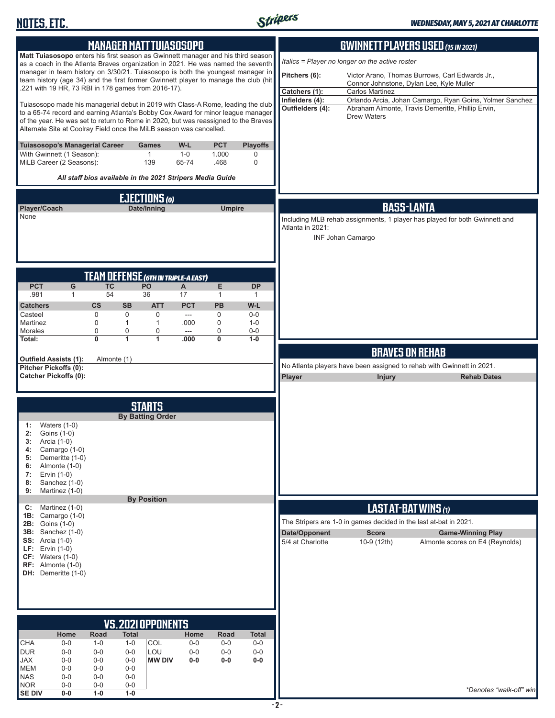

|                                                                                 | <b>MANAGER MATT TUIASOSOPO</b>                                                                                                                                                                                                                                                                                                     |                              |                |                            |                       |                                     | <b>GWINNETT PLAYERS USED (15 IN 2021)</b>                         |                                                                                                               |
|---------------------------------------------------------------------------------|------------------------------------------------------------------------------------------------------------------------------------------------------------------------------------------------------------------------------------------------------------------------------------------------------------------------------------|------------------------------|----------------|----------------------------|-----------------------|-------------------------------------|-------------------------------------------------------------------|---------------------------------------------------------------------------------------------------------------|
|                                                                                 | Matt Tuiasosopo enters his first season as Gwinnett manager and his third season<br>as a coach in the Atlanta Braves organization in 2021. He was named the seventh                                                                                                                                                                |                              |                |                            |                       |                                     | Italics = Player no longer on the active roster                   |                                                                                                               |
|                                                                                 | manager in team history on 3/30/21. Tuiasosopo is both the youngest manager in<br>team history (age 34) and the first former Gwinnett player to manage the club (hit                                                                                                                                                               |                              |                |                            |                       | Pitchers (6):                       | Connor Johnstone, Dylan Lee, Kyle Muller                          | Victor Arano, Thomas Burrows, Carl Edwards Jr.,                                                               |
|                                                                                 | .221 with 19 HR, 73 RBI in 178 games from 2016-17).                                                                                                                                                                                                                                                                                |                              |                |                            |                       | Catchers (1):                       | Carlos Martinez                                                   |                                                                                                               |
|                                                                                 | Tuiasosopo made his managerial debut in 2019 with Class-A Rome, leading the club<br>to a 65-74 record and earning Atlanta's Bobby Cox Award for minor league manager<br>of the year. He was set to return to Rome in 2020, but was reassigned to the Braves<br>Alternate Site at Coolray Field once the MiLB season was cancelled. |                              |                |                            |                       | Infielders (4):<br>Outfielders (4): | <b>Drew Waters</b>                                                | Orlando Arcia, Johan Camargo, Ryan Goins, Yolmer Sanchez<br>Abraham Almonte, Travis Demeritte, Phillip Ervin, |
| <b>Tuiasosopo's Managerial Career</b><br>With Gwinnett (1 Season):              |                                                                                                                                                                                                                                                                                                                                    | <b>Games</b><br>$\mathbf{1}$ | W-L<br>$1 - 0$ | <b>PCT</b><br>1.000        | <b>Playoffs</b><br>0  |                                     |                                                                   |                                                                                                               |
| MiLB Career (2 Seasons):                                                        | All staff bios available in the 2021 Stripers Media Guide                                                                                                                                                                                                                                                                          | 139                          | 65-74          | .468                       | 0                     |                                     |                                                                   |                                                                                                               |
|                                                                                 |                                                                                                                                                                                                                                                                                                                                    | <b>EJECTIONS</b> (0)         |                |                            |                       |                                     |                                                                   |                                                                                                               |
| Player/Coach                                                                    |                                                                                                                                                                                                                                                                                                                                    | Date/Inning                  |                | <b>Umpire</b>              |                       |                                     | <b>BASS-LANTA</b>                                                 |                                                                                                               |
| None                                                                            |                                                                                                                                                                                                                                                                                                                                    |                              |                |                            |                       |                                     |                                                                   | Including MLB rehab assignments, 1 player has played for both Gwinnett and                                    |
|                                                                                 |                                                                                                                                                                                                                                                                                                                                    |                              |                |                            |                       | Atlanta in 2021:                    |                                                                   |                                                                                                               |
|                                                                                 |                                                                                                                                                                                                                                                                                                                                    |                              |                |                            |                       |                                     | INF Johan Camargo                                                 |                                                                                                               |
|                                                                                 |                                                                                                                                                                                                                                                                                                                                    |                              |                |                            |                       |                                     |                                                                   |                                                                                                               |
|                                                                                 |                                                                                                                                                                                                                                                                                                                                    |                              |                |                            |                       |                                     |                                                                   |                                                                                                               |
| <b>PCT</b><br>G                                                                 | TEAM DEFENSE (6TH IN TRIPLE-A EAST)<br><b>TC</b>                                                                                                                                                                                                                                                                                   | PO                           | A              | E                          | <b>DP</b>             |                                     |                                                                   |                                                                                                               |
| .981<br>$\mathbf{1}$                                                            | 54                                                                                                                                                                                                                                                                                                                                 | 36                           | 17             | $\mathbf{1}$               | 1                     |                                     |                                                                   |                                                                                                               |
| <b>Catchers</b>                                                                 | $\mathsf{cs}$<br><b>SB</b>                                                                                                                                                                                                                                                                                                         | <b>ATT</b>                   | <b>PCT</b>     | <b>PB</b>                  | W-L                   |                                     |                                                                   |                                                                                                               |
| Casteel                                                                         | $\mathbf 0$<br>0                                                                                                                                                                                                                                                                                                                   | 0                            | $\overline{a}$ | $\mathbf 0$                | $0-0$                 |                                     |                                                                   |                                                                                                               |
| Martinez<br>Morales                                                             | $\mathbf 0$<br>$\mathbf{1}$<br>0<br>0                                                                                                                                                                                                                                                                                              | $\mathbf{1}$<br>0            | .000<br>---    | $\mathbf 0$<br>$\mathbf 0$ | $1 - 0$<br>$0-0$      |                                     |                                                                   |                                                                                                               |
| Total:                                                                          | 0<br>1                                                                                                                                                                                                                                                                                                                             | $\mathbf{1}$                 | .000           | 0                          | $1-0$                 |                                     |                                                                   |                                                                                                               |
|                                                                                 |                                                                                                                                                                                                                                                                                                                                    |                              |                |                            |                       |                                     | <b>BRAVES ON REHAB</b>                                            |                                                                                                               |
| <b>Outfield Assists (1):</b><br>Pitcher Pickoffs (0):                           | Almonte (1)                                                                                                                                                                                                                                                                                                                        |                              |                |                            |                       |                                     |                                                                   | No Atlanta players have been assigned to rehab with Gwinnett in 2021.                                         |
| <b>Catcher Pickoffs (0):</b>                                                    |                                                                                                                                                                                                                                                                                                                                    |                              |                |                            |                       | Player                              | <b>Injury</b>                                                     | <b>Rehab Dates</b>                                                                                            |
|                                                                                 |                                                                                                                                                                                                                                                                                                                                    |                              |                |                            |                       |                                     |                                                                   |                                                                                                               |
|                                                                                 |                                                                                                                                                                                                                                                                                                                                    | <b>STARTS</b>                |                |                            |                       |                                     |                                                                   |                                                                                                               |
|                                                                                 |                                                                                                                                                                                                                                                                                                                                    | <b>By Batting Order</b>      |                |                            |                       |                                     |                                                                   |                                                                                                               |
| Waters $(1-0)$<br>1:<br>Goins (1-0)<br>2:<br>Arcia (1-0)<br>3:<br>Camargo (1-0) |                                                                                                                                                                                                                                                                                                                                    |                              |                |                            |                       |                                     |                                                                   |                                                                                                               |
| 4:<br>Demeritte (1-0)<br>5:                                                     |                                                                                                                                                                                                                                                                                                                                    |                              |                |                            |                       |                                     |                                                                   |                                                                                                               |
| Almonte (1-0)<br>6:<br>Ervin (1-0)<br>7:                                        |                                                                                                                                                                                                                                                                                                                                    |                              |                |                            |                       |                                     |                                                                   |                                                                                                               |
| Sanchez (1-0)<br>8:                                                             |                                                                                                                                                                                                                                                                                                                                    |                              |                |                            |                       |                                     |                                                                   |                                                                                                               |
| Martinez (1-0)<br>9:                                                            |                                                                                                                                                                                                                                                                                                                                    |                              |                |                            |                       |                                     |                                                                   |                                                                                                               |
| Martinez (1-0)<br>C:                                                            |                                                                                                                                                                                                                                                                                                                                    | <b>By Position</b>           |                |                            |                       |                                     | LAST AT-BAT WINS (1)                                              |                                                                                                               |
| 1B:<br>Camargo (1-0)<br><b>2B:</b> Goins (1-0)                                  |                                                                                                                                                                                                                                                                                                                                    |                              |                |                            |                       |                                     | The Stripers are 1-0 in games decided in the last at-bat in 2021. |                                                                                                               |
| <b>3B:</b> Sanchez (1-0)                                                        |                                                                                                                                                                                                                                                                                                                                    |                              |                |                            |                       | Date/Opponent                       | <b>Score</b>                                                      | <b>Game-Winning Play</b>                                                                                      |
| <b>SS:</b> Arcia (1-0)                                                          |                                                                                                                                                                                                                                                                                                                                    |                              |                |                            |                       | 5/4 at Charlotte                    | 10-9 (12th)                                                       | Almonte scores on E4 (Reynolds)                                                                               |
| <b>LF:</b> Ervin $(1-0)$<br>$CF: Waters (1-0)$                                  |                                                                                                                                                                                                                                                                                                                                    |                              |                |                            |                       |                                     |                                                                   |                                                                                                               |
| $RF:$ Almonte $(1-0)$<br>DH: Demeritte (1-0)                                    |                                                                                                                                                                                                                                                                                                                                    |                              |                |                            |                       |                                     |                                                                   |                                                                                                               |
|                                                                                 |                                                                                                                                                                                                                                                                                                                                    |                              |                |                            |                       |                                     |                                                                   |                                                                                                               |
|                                                                                 |                                                                                                                                                                                                                                                                                                                                    |                              |                |                            |                       |                                     |                                                                   |                                                                                                               |
|                                                                                 |                                                                                                                                                                                                                                                                                                                                    |                              |                |                            |                       |                                     |                                                                   |                                                                                                               |
|                                                                                 |                                                                                                                                                                                                                                                                                                                                    |                              |                |                            |                       |                                     |                                                                   |                                                                                                               |
|                                                                                 | Road                                                                                                                                                                                                                                                                                                                               | <b>VS. 2021 OPPONENTS</b>    |                |                            |                       |                                     |                                                                   |                                                                                                               |
| Home<br>$0-0$<br>CHA                                                            | <b>Total</b><br>$1 - 0$<br>$1 - 0$                                                                                                                                                                                                                                                                                                 | COL                          | Home<br>$0-0$  | Road<br>$0-0$              | <b>Total</b><br>$0-0$ |                                     |                                                                   |                                                                                                               |
| <b>DUR</b><br>$0-0$                                                             | $0-0$<br>$0-0$                                                                                                                                                                                                                                                                                                                     | LOU                          | $0-0$          | $0-0$                      | $0-0$                 |                                     |                                                                   |                                                                                                               |
| <b>JAX</b><br>$0-0$<br><b>MEM</b><br>$0-0$                                      | $0-0$<br>$0-0$<br>$0-0$<br>$0-0$                                                                                                                                                                                                                                                                                                   | <b>MW DIV</b>                | $0-0$          | $0-0$                      | $0-0$                 |                                     |                                                                   |                                                                                                               |
| $0-0$<br><b>NAS</b>                                                             | $0-0$<br>$0-0$                                                                                                                                                                                                                                                                                                                     |                              |                |                            |                       |                                     |                                                                   |                                                                                                               |
| <b>NOR</b><br>$0-0$<br><b>SE DIV</b><br>$0-0$                                   | $0-0$<br>$0-0$<br>$1-0$<br>$1-0$                                                                                                                                                                                                                                                                                                   |                              |                |                            |                       |                                     |                                                                   | *Denotes "walk-off" win                                                                                       |
|                                                                                 |                                                                                                                                                                                                                                                                                                                                    |                              |                |                            |                       |                                     |                                                                   |                                                                                                               |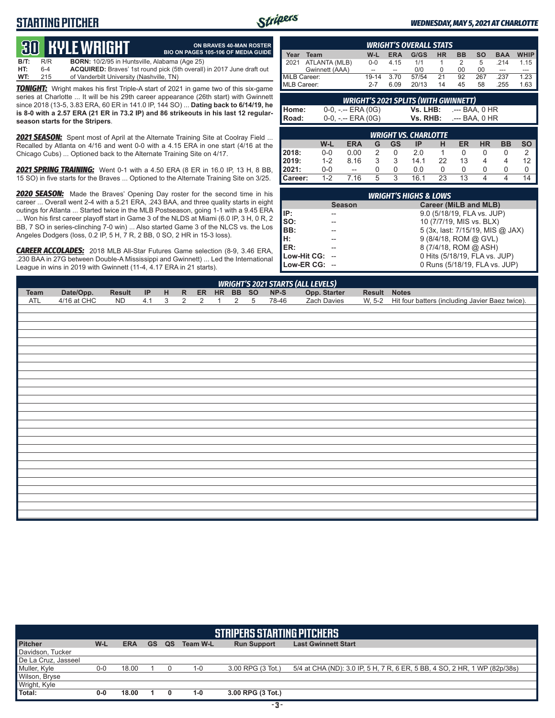## **STARTING PITCHER**



**ON BRAVES 40-MAN ROSTER BIO ON PAGES 105-106 OF MEDIA GUIDE**

#### *WEDNESDAY, MAY 5, 2021 AT CHARLOTTE*

# **30****KYLE WRIGHT**

**B/T:** R/R **BORN:** 10/2/95 in Huntsville, Alabama (Age 25)<br>**HT:** 6-4 **ACQUIRED:** Braves' 1st round pick (5th overall **HT:** 6-4 **ACQUIRED:** Braves' 1st round pick (5th overall) in 2017 June draft out **WT:** 215 of Vanderbilt University (Nashville, TN)

**TONIGHT:** Wright makes his first Triple-A start of 2021 in game two of this six-game series at Charlotte ... It will be his 29th career appearance (26th start) with Gwinnett since 2018 (13-5, 3.83 ERA, 60 ER in 141.0 IP, 144 SO) ... **Dating back to 6/14/19, he is 8-0 with a 2.57 ERA (21 ER in 73.2 IP) and 86 strikeouts in his last 12 regularseason starts for the Stripers**.

*2021 SEASON:* Spent most of April at the Alternate Training Site at Coolray Field ... Recalled by Atlanta on 4/16 and went 0-0 with a 4.15 ERA in one start (4/16 at the Chicago Cubs) ... Optioned back to the Alternate Training Site on 4/17.

*2021 SPRING TRAINING:* Went 0-1 with a 4.50 ERA (8 ER in 16.0 IP, 13 H, 8 BB, 15 SO) in five starts for the Braves ... Optioned to the Alternate Training Site on 3/25.

*2020 SEASON:* Made the Braves' Opening Day roster for the second time in his career ... Overall went 2-4 with a 5.21 ERA, .243 BAA, and three quality starts in eight outings for Atlanta ... Started twice in the MLB Postseason, going 1-1 with a 9.45 ERA .. Won his first career playoff start in Game 3 of the NLDS at Miami (6.0 IP, 3 H, 0 R, 2 BB, 7 SO in series-clinching 7-0 win) ... Also started Game 3 of the NLCS vs. the Los Angeles Dodgers (loss, 0.2 IP, 5 H, 7 R, 2 BB, 0 SO, 2 HR in 15-3 loss).

*CAREER ACCOLADES:* 2018 MLB All-Star Futures Game selection (8-9, 3.46 ERA, .230 BAA in 27G between Double-A Mississippi and Gwinnett) ... Led the International League in wins in 2019 with Gwinnett (11-4, 4.17 ERA in 21 starts).

| <b>WRIGHT'S OVERALL STATS</b> |                |         |            |       |           |           |     |            |             |
|-------------------------------|----------------|---------|------------|-------|-----------|-----------|-----|------------|-------------|
| Year                          | Team           | W-L     | <b>ERA</b> | G/GS  | <b>HR</b> | <b>BB</b> | so  | <b>BAA</b> | <b>WHIP</b> |
| 2021                          | ATLANTA (MLB)  | $0 - 0$ | 4 15       | 1/1   |           |           | 5   | 214        | 1.15        |
|                               | Gwinnett (AAA) | --      | --         | 0/0   |           | 00        | 00  | ---        |             |
| MiLB Career:                  |                | 19-14   | 3.70       | 57/54 | 21        | 92        | 267 | 237        | 1.23        |
| MLB Career:                   |                | $2 - 7$ | 6.09       | 20/13 | 14        | 45        | 58  | 255        | 1.63        |

| <b>WRIGHT'S 2021 SPLITS (WITH GWINNETT)</b> |                       |          |                |  |  |  |
|---------------------------------------------|-----------------------|----------|----------------|--|--|--|
| l Home:                                     | $0-0, - -$ ERA $(0G)$ | Vs. LHB: | .--- BAA. 0 HR |  |  |  |
| l Road:                                     | $0-0, - -$ ERA $(0G)$ | Vs. RHB: | .--- BAA. 0 HR |  |  |  |
|                                             |                       |          |                |  |  |  |

| <b>WRIGHT VS. CHARLOTTE</b> |         |            |   |    |      |    |    |           |           |           |
|-----------------------------|---------|------------|---|----|------|----|----|-----------|-----------|-----------|
|                             | W-L     | <b>ERA</b> | G | GS | IP   | н  | ER | <b>HR</b> | <b>BB</b> | <b>SO</b> |
| 2018:                       | $0 - 0$ | 0.00       |   | 0  | 2.0  |    |    |           |           |           |
| 2019:                       | $1 - 2$ | 8 1 6      | ঽ | 3  | 14.1 | 22 | 13 |           |           | 12        |
| l 2021:                     | $0 - 0$ | $-$        |   | O  | 0.0  |    |    |           |           | O         |
| Career:                     | $1 - 2$ | .16        | 5 | 3  | 16.1 | 23 | 13 |           |           | 14        |

| <b>WRIGHT'S HIGHS &amp; LOWS</b> |               |                                  |  |  |  |
|----------------------------------|---------------|----------------------------------|--|--|--|
|                                  | <b>Season</b> | <b>Career (MiLB and MLB)</b>     |  |  |  |
| IIP:                             |               | 9.0 (5/18/19, FLA vs. JUP)       |  |  |  |
| SO:                              |               | 10 (7/7/19, MIS vs. BLX)         |  |  |  |
| BB:                              |               | 5 (3x, last: 7/15/19, MIS @ JAX) |  |  |  |
| Iн:                              |               | 9 (8/4/18, ROM @ GVL)            |  |  |  |
| ER:                              |               | 8 (7/4/18, ROM @ ASH)            |  |  |  |
| Low-Hit CG: --                   |               | 0 Hits (5/18/19, FLA vs. JUP)    |  |  |  |
| Low-ER CG: --                    |               | 0 Runs (5/18/19, FLA vs. JUP)    |  |  |  |

|             | <b>WRIGHT'S 2021 STARTS (ALL LEVELS)</b> |           |     |   |              |   |  |                |   |       |              |        |                                                 |
|-------------|------------------------------------------|-----------|-----|---|--------------|---|--|----------------|---|-------|--------------|--------|-------------------------------------------------|
| <b>Team</b> | Date/Opp.                                | Result    | IP  | H | $\mathsf{R}$ |   |  | ER HR BB SO    |   | NP-S  | Opp. Starter | Result | <b>Notes</b>                                    |
| <b>ATL</b>  | 4/16 at CHC                              | <b>ND</b> | 4.1 | 3 | 2            | 2 |  | $\overline{2}$ | 5 | 78-46 | Zach Davies  | W, 5-2 | Hit four batters (including Javier Baez twice). |
|             |                                          |           |     |   |              |   |  |                |   |       |              |        |                                                 |
|             |                                          |           |     |   |              |   |  |                |   |       |              |        |                                                 |
|             |                                          |           |     |   |              |   |  |                |   |       |              |        |                                                 |
|             |                                          |           |     |   |              |   |  |                |   |       |              |        |                                                 |
|             |                                          |           |     |   |              |   |  |                |   |       |              |        |                                                 |
|             |                                          |           |     |   |              |   |  |                |   |       |              |        |                                                 |
|             |                                          |           |     |   |              |   |  |                |   |       |              |        |                                                 |
|             |                                          |           |     |   |              |   |  |                |   |       |              |        |                                                 |
|             |                                          |           |     |   |              |   |  |                |   |       |              |        |                                                 |
|             |                                          |           |     |   |              |   |  |                |   |       |              |        |                                                 |
|             |                                          |           |     |   |              |   |  |                |   |       |              |        |                                                 |
|             |                                          |           |     |   |              |   |  |                |   |       |              |        |                                                 |
|             |                                          |           |     |   |              |   |  |                |   |       |              |        |                                                 |
|             |                                          |           |     |   |              |   |  |                |   |       |              |        |                                                 |
|             |                                          |           |     |   |              |   |  |                |   |       |              |        |                                                 |
|             |                                          |           |     |   |              |   |  |                |   |       |              |        |                                                 |
|             |                                          |           |     |   |              |   |  |                |   |       |              |        |                                                 |
|             |                                          |           |     |   |              |   |  |                |   |       |              |        |                                                 |
|             |                                          |           |     |   |              |   |  |                |   |       |              |        |                                                 |
|             |                                          |           |     |   |              |   |  |                |   |       |              |        |                                                 |
|             |                                          |           |     |   |              |   |  |                |   |       |              |        |                                                 |
|             |                                          |           |     |   |              |   |  |                |   |       |              |        |                                                 |
|             |                                          |           |     |   |              |   |  |                |   |       |              |        |                                                 |
|             |                                          |           |     |   |              |   |  |                |   |       |              |        |                                                 |
|             |                                          |           |     |   |              |   |  |                |   |       |              |        |                                                 |

|                     | <b>STRIPERS STARTING PITCHERS</b> |            |           |           |          |                    |                                                                           |  |  |  |  |  |
|---------------------|-----------------------------------|------------|-----------|-----------|----------|--------------------|---------------------------------------------------------------------------|--|--|--|--|--|
| <b>Pitcher</b>      | W-L                               | <b>ERA</b> | <b>GS</b> | <b>QS</b> | Team W-L | <b>Run Support</b> | <b>Last Gwinnett Start</b>                                                |  |  |  |  |  |
| Davidson, Tucker    |                                   |            |           |           |          |                    |                                                                           |  |  |  |  |  |
| De La Cruz, Jasseel |                                   |            |           |           |          |                    |                                                                           |  |  |  |  |  |
| Muller, Kyle        | $0-0$                             | 18.00      |           |           | 1-0      | 3.00 RPG (3 Tot.)  | 5/4 at CHA (ND): 3.0 IP, 5 H, 7 R, 6 ER, 5 BB, 4 SO, 2 HR, 1 WP (82p/38s) |  |  |  |  |  |
| Wilson, Bryse       |                                   |            |           |           |          |                    |                                                                           |  |  |  |  |  |
| Wright, Kyle        |                                   |            |           |           |          |                    |                                                                           |  |  |  |  |  |
| Total:              | $0-0$                             | 18.00      |           | 0         | $1 - 0$  | 3.00 RPG (3 Tot.)  |                                                                           |  |  |  |  |  |
|                     |                                   |            |           |           |          |                    |                                                                           |  |  |  |  |  |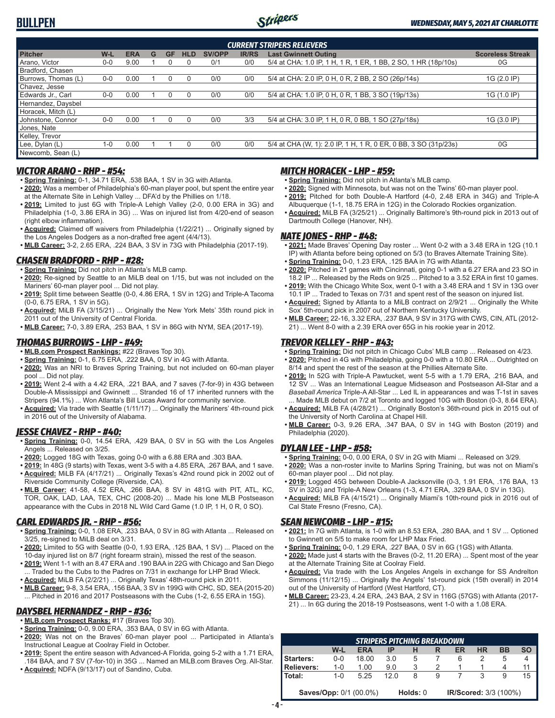## **BULLPEN**



| <b>CURRENT STRIPERS RELIEVERS</b> |         |            |   |           |            |               |              |                                                                 |                         |  |  |  |  |
|-----------------------------------|---------|------------|---|-----------|------------|---------------|--------------|-----------------------------------------------------------------|-------------------------|--|--|--|--|
| <b>Pitcher</b>                    | $W-L$   | <b>ERA</b> | G | <b>GF</b> | <b>HLD</b> | <b>SV/OPP</b> | <b>IR/RS</b> | <b>Last Gwinnett Outing</b>                                     | <b>Scoreless Streak</b> |  |  |  |  |
| Arano. Victor                     | $0 - 0$ | 9.00       |   |           | 0          | 0/1           | 0/0          | 5/4 at CHA: 1.0 IP, 1 H, 1 R, 1 ER, 1 BB, 2 SO, 1 HR (18p/10s)  | 0G                      |  |  |  |  |
| Bradford, Chasen                  |         |            |   |           |            |               |              |                                                                 |                         |  |  |  |  |
| Burrows. Thomas (L)               | $0 - 0$ | 0.00       |   |           | 0          | 0/0           | 0/0          | 5/4 at CHA: 2.0 IP, 0 H, 0 R, 2 BB, 2 SO (26p/14s)              | 1G (2.0 IP)             |  |  |  |  |
| Chavez, Jesse                     |         |            |   |           |            |               |              |                                                                 |                         |  |  |  |  |
| Edwards Jr., Carl                 | $0 - 0$ | 0.00       |   |           | 0          | 0/0           | 0/0          | 5/4 at CHA: 1.0 IP, 0 H, 0 R, 1 BB, 3 SO (19p/13s)              | 1G (1.0 IP)             |  |  |  |  |
| Hernandez, Daysbel                |         |            |   |           |            |               |              |                                                                 |                         |  |  |  |  |
| Horacek, Mitch (L)                |         |            |   |           |            |               |              |                                                                 |                         |  |  |  |  |
| Johnstone, Connor                 | $0-0$   | 0.00       |   |           | $\Omega$   | 0/0           | 3/3          | 5/4 at CHA: 3.0 IP, 1 H, 0 R, 0 BB, 1 SO (27p/18s)              | 1G (3.0 IP)             |  |  |  |  |
| <sup>1</sup> Jones, Nate          |         |            |   |           |            |               |              |                                                                 |                         |  |  |  |  |
| Kelley, Trevor                    |         |            |   |           |            |               |              |                                                                 |                         |  |  |  |  |
| Lee, Dylan (L)                    | $1 - 0$ | 0.00       |   |           | 0          | 0/0           | 0/0          | 5/4 at CHA (W, 1): 2.0 IP, 1 H, 1 R, 0 ER, 0 BB, 3 SO (31p/23s) | 0G                      |  |  |  |  |
| Newcomb, Sean (L)                 |         |            |   |           |            |               |              |                                                                 |                         |  |  |  |  |

## *VICTOR ARANO - RHP - #54:*

- **• Spring Training:** 0-1, 34.71 ERA, .538 BAA, 1 SV in 3G with Atlanta.
- **• 2020:** Was a member of Philadelphia's 60-man player pool, but spent the entire year at the Alternate Site in Lehigh Valley ... DFA'd by the Phillies on 1/18.
- **• 2019:** Limited to just 6G with Triple-A Lehigh Valley (2-0, 0.00 ERA in 3G) and Philadelphia (1-0, 3.86 ERA in 3G) ... Was on injured list from 4/20-end of season (right elbow inflammation).
- **• Acquired:** Claimed off waivers from Philadelphia (1/22/21) ... Originally signed by the Los Angeles Dodgers as a non-drafted free agent (4/4/13).
- **• MLB Career:** 3-2, 2.65 ERA, .224 BAA, 3 SV in 73G with Philadelphia (2017-19).

## *CHASEN BRADFORD - RHP - #28:*

- **• Spring Training:** Did not pitch in Atlanta's MLB camp.
- **• 2020:** Re-signed by Seattle to an MiLB deal on 1/15, but was not included on the Mariners' 60-man player pool ... Did not play.
- **• 2019:** Split time between Seattle (0-0, 4.86 ERA, 1 SV in 12G) and Triple-A Tacoma (0-0, 6.75 ERA, 1 SV in 5G).
- **• Acquired:** MiLB FA (3/15/21) ... Originally the New York Mets' 35th round pick in 2011 out of the University of Central Florida.
- **• MLB Career:** 7-0, 3.89 ERA, .253 BAA, 1 SV in 86G with NYM, SEA (2017-19).

## *THOMAS BURROWS - LHP - #49:*

- **• MLB.com Prospect Rankings:** #22 (Braves Top 30).
- **• Spring Training:** 0-1, 6.75 ERA, .222 BAA, 0 SV in 4G with Atlanta.
- **• 2020:** Was an NRI to Braves Spring Training, but not included on 60-man player pool ... Did not play.
- **• 2019:** Went 2-4 with a 4.42 ERA, .221 BAA, and 7 saves (7-for-9) in 43G between Double-A Mississippi and Gwinnett ... Stranded 16 of 17 inherited runners with the Stripers (94.1%) ... Won Atlanta's Bill Lucas Award for community service.
- **• Acquired:** Via trade with Seattle (1/11/17) ... Originally the Mariners' 4th-round pick in 2016 out of the University of Alabama.

## *JESSE CHAVEZ - RHP - #40:*

- **• Spring Training:** 0-0, 14.54 ERA, .429 BAA, 0 SV in 5G with the Los Angeles Angels ... Released on 3/25.
- **• 2020:** Logged 18G with Texas, going 0-0 with a 6.88 ERA and .303 BAA.
- **• 2019:** In 48G (9 starts) with Texas, went 3-5 with a 4.85 ERA, .267 BAA, and 1 save.
- **• Acquired:** MiLB FA (4/17/21) ... Originally Texas's 42nd round pick in 2002 out of Riverside Community College (Riverside, CA).
- **• MLB Career:** 41-58, 4.52 ERA, .266 BAA, 8 SV in 481G with PIT, ATL, KC, TOR, OAK, LAD, LAA, TEX, CHC (2008-20) ... Made his lone MLB Postseason appearance with the Cubs in 2018 NL Wild Card Game (1.0 IP, 1 H, 0 R, 0 SO).

## *CARL EDWARDS JR. - RHP - #56:*

- **• Spring Training:** 0-0, 1.08 ERA, .233 BAA, 0 SV in 8G with Atlanta ... Released on 3/25, re-signed to MiLB deal on 3/31.
- **• 2020:** Limited to 5G with Seattle (0-0, 1.93 ERA, .125 BAA, 1 SV) ... Placed on the 10-day injured list on 8/7 (right forearm strain), missed the rest of the season.
- **• 2019:** Went 1-1 with an 8.47 ERA and .190 BAA in 22G with Chicago and San Diego ... Traded bu the Cubs to the Padres on 7/31 in exchange for LHP Brad Wieck.
- **• Acquired:** MiLB FA (2/2/21) ... Originally Texas' 48th-round pick in 2011.
- **• MLB Career:** 9-8, 3.54 ERA, .156 BAA, 3 SV in 199G with CHC, SD, SEA (2015-20) ... Pitched in 2016 and 2017 Postseasons with the Cubs (1-2, 6.55 ERA in 15G).

## *DAYSBEL HERNANDEZ - RHP - #36:*

- **• MLB.com Prospect Ranks:** #17 (Braves Top 30).
- **• Spring Training:** 0-0, 9.00 ERA, .353 BAA, 0 SV in 6G with Atlanta.
- **• 2020:** Was not on the Braves' 60-man player pool ... Participated in Atlanta's Instructional League at Coolray Field in October. **• 2019:** Spent the entire season with Advanced-A Florida, going 5-2 with a 1.71 ERA,
- .184 BAA, and 7 SV (7-for-10) in 35G ... Named an MiLB.com Braves Org. All-Star. **• Acquired:** NDFA (9/13/17) out of Sandino, Cuba.

## *MITCH HORACEK - LHP - #59:*

- **• Spring Training:** Did not pitch in Atlanta's MLB camp.
- **• 2020:** Signed with Minnesota, but was not on the Twins' 60-man player pool.
- **• 2019:** Pitched for both Double-A Hartford (4-0, 2.48 ERA in 34G) and Triple-A Albuquerque (1-1, 18.75 ERA in 12G) in the Colorado Rockies organization.
- **• Acquired:** MiLB FA (3/25/21) ... Originally Baltimore's 9th-round pick in 2013 out of Dartmouth College (Hanover, NH).

## *NATE JONES - RHP - #48:*

- **• 2021:** Made Braves' Opening Day roster ... Went 0-2 with a 3.48 ERA in 12G (10.1 IP) with Atlanta before being optioned on 5/3 (to Braves Alternate Training Site).
- **• Spring Training:** 0-0, 1.23 ERA, .125 BAA in 7G with Atlanta.
- **• 2020:** Pitched in 21 games with Cincinnati, going 0-1 with a 6.27 ERA and 23 SO in 18.2 IP ... Released by the Reds on 9/25 ... Pitched to a 3.52 ERA in first 10 games.
- **• 2019:** With the Chicago White Sox, went 0-1 with a 3.48 ERA and 1 SV in 13G over 10.1 IP ... Traded to Texas on 7/31 and spent rest of the season on injured list.
- **• Acquired:** Signed by Atlanta to a MiLB contract on 2/9/21 ... Originally the White Sox' 5th-round pick in 2007 out of Northern Kentucky University.
- **• MLB Career:** 22-16, 3.32 ERA, .237 BAA, 9 SV in 317G with CWS, CIN, ATL (2012- 21) ... Went 8-0 with a 2.39 ERA over 65G in his rookie year in 2012.

### *TREVOR KELLEY - RHP - #43:*

- **• Spring Training:** Did not pitch in Chicago Cubs' MLB camp ... Released on 4/23.
- **• 2020:** Pitched in 4G with Philadelphia, going 0-0 with a 10.80 ERA ... Outrighted on 8/14 and spent the rest of the season at the Phillies Alternate Site.
- **• 2019:** In 52G with Triple-A Pawtucket, went 5-5 with a 1.79 ERA, .216 BAA, and 12 SV ... Was an International League Midseason and Postseason All-Star and a *Baseball America* Triple-A All-Star ... Led IL in appearances and was T-1st in saves ... Made MLB debut on 7/2 at Toronto and logged 10G with Boston (0-3, 8.64 ERA).
- **• Acquired:** MiLB FA (4/28/21) ... Originally Boston's 36th-round pick in 2015 out of the University of North Carolina at Chapel Hill.
- **• MLB Career:** 0-3, 9.26 ERA, .347 BAA, 0 SV in 14G with Boston (2019) and Philadelphia (2020).

#### *DYLAN LEE - LHP - #58:*

- **• Spring Training:** 0-0, 0.00 ERA, 0 SV in 2G with Miami ... Released on 3/29.
- **• 2020:** Was a non-roster invite to Marlins Spring Training, but was not on Miami's 60-man player pool ... Did not play.
- **• 2019:** Logged 45G between Double-A Jacksonville (0-3, 1.91 ERA, .176 BAA, 13 SV in 32G) and Triple-A New Orleans (1-3, 4.71 ERA, .329 BAA, 0 SV in 13G).
- **• Acquired:** MiLB FA (4/15/21) ... Originally Miami's 10th-round pick in 2016 out of Cal State Fresno (Fresno, CA).

## *SEAN NEWCOMB - LHP - #15:*

- **• 2021:** In 7G with Atlanta, is 1-0 with an 8.53 ERA, .280 BAA, and 1 SV ... Optioned to Gwinnett on 5/5 to make room for LHP Max Fried.
- **• Spring Training:** 0-0, 1.29 ERA, .227 BAA, 0 SV in 6G (1GS) with Atlanta.
- **• 2020:** Made just 4 starts with the Braves (0-2, 11.20 ERA) ... Spent most of the year at the Alternate Training Site at Coolray Field.
- **• Acquired:** Via trade with the Los Angeles Angels in exchange for SS Andrelton Simmons (11/12/15) ... Originally the Angels' 1st-round pick (15th overall) in 2014 out of the University of Hartford (West Hartford, CT).
- **• MLB Career:** 23-23, 4.24 ERA, .243 BAA, 2 SV in 116G (57GS) with Atlanta (2017-
- 21) ... In 6G during the 2018-19 Postseasons, went 1-0 with a 1.08 ERA.

| <b>STRIPERS PITCHING BREAKDOWN</b> |             |                               |      |          |   |                       |           |           |           |  |
|------------------------------------|-------------|-------------------------------|------|----------|---|-----------------------|-----------|-----------|-----------|--|
|                                    | W-L         | <b>ERA</b>                    | IP   |          | R | ER                    | <b>HR</b> | <b>BB</b> | <b>SO</b> |  |
| Starters:                          | $0 - 0$     | 18.00                         | 3.0  | 5        |   | 6                     |           |           |           |  |
| Relievers:                         | $1 - 0$     | 1.00                          | 9.0  |          |   |                       |           |           |           |  |
| Total:                             | 1- $\Omega$ | 5 25                          | 12 O | 8        | 9 |                       |           |           | 15        |  |
|                                    |             | <b>Saves/Opp: 0/1 (00.0%)</b> |      | Holds: 0 |   | IR/Scored: 3/3 (100%) |           |           |           |  |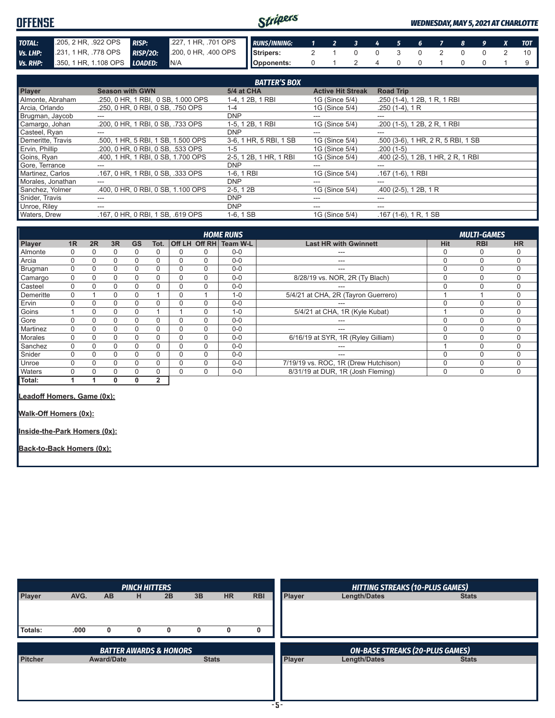| <b>OFFENSE</b>  |                              |                 |                                  | Stripers    |                             |  |  |             |  | <b>WEDNESDAY, MAY 5, 2021 AT CHARLOTTE</b> |
|-----------------|------------------------------|-----------------|----------------------------------|-------------|-----------------------------|--|--|-------------|--|--------------------------------------------|
| <b>TOTAL:</b>   | 205, 2 HR, .922 OPS          | <b>RISP:</b>    | 227, 1 HR, .701 OPS RUNS/INNING: |             | $1 \quad 2 \quad 3 \quad 4$ |  |  | 5 6 7 8 9 X |  | <b>TOT</b>                                 |
| Vs. LHP:        | 231, 1 HR, 778 OPS           | <b>RISP/20:</b> | 200, 0 HR, 400 OPS               | I Stripers: |                             |  |  |             |  |                                            |
| <b>Vs. RHP:</b> | 350, 1 HR, 1.108 OPS LOADED: |                 | <b>IN/A</b>                      | Opponents:  |                             |  |  |             |  |                                            |

|                     |                                    | <b>BATTER'S BOX</b>    |                          |                                    |
|---------------------|------------------------------------|------------------------|--------------------------|------------------------------------|
| <b>Player</b>       | <b>Season with GWN</b>             | 5/4 at CHA             | <b>Active Hit Streak</b> | <b>Road Trip</b>                   |
| Almonte, Abraham    | .250, 0 HR, 1 RBI, 0 SB, 1.000 OPS | 1-4, 1 2B, 1 RBI       | 1G (Since 5/4)           | .250 (1-4), 1 2B, 1 R, 1 RBI       |
| Arcia, Orlando      | .250, 0 HR, 0 RBI, 0 SB, .750 OPS  | 1-4                    | 1G (Since 5/4)           | $.250(1-4), 1R$                    |
| Brugman, Jaycob     | ---                                | <b>DNP</b>             | ---                      | ---                                |
| Camargo, Johan      | .200, 0 HR, 1 RBI, 0 SB, .733 OPS  | 1-5, 1 2B, 1 RBI       | 1G (Since 5/4)           | .200 (1-5), 1 2B, 2 R, 1 RBI       |
| Casteel, Ryan       | ---                                | <b>DNP</b>             | ---                      | ---                                |
| Demeritte, Travis   | .500, 1 HR, 5 RBI, 1 SB, 1.500 OPS | 3-6, 1 HR, 5 RBI, 1 SB | 1G (Since 5/4)           | .500 (3-6), 1 HR, 2 R, 5 RBI, 1 SB |
| Ervin, Phillip      | .200, 0 HR, 0 RBI, 0 SB, .533 OPS  | $1 - 5$                | 1G (Since 5/4)           | $.200(1-5)$                        |
| Goins, Ryan         | .400, 1 HR, 1 RBI, 0 SB, 1.700 OPS | 2-5, 1 2B, 1 HR, 1 RBI | 1G (Since 5/4)           | .400 (2-5), 1 2B, 1 HR, 2 R, 1 RBI |
| Gore, Terrance      |                                    | <b>DNP</b>             |                          | ---                                |
| Martinez, Carlos    | .167.0 HR. 1 RBI. 0 SB. .333 OPS   | 1-6, 1 RBI             | 1G (Since 5/4)           | .167 (1-6), 1 RBI                  |
| Morales, Jonathan   | ---                                | <b>DNP</b>             | ---                      | ---                                |
| Sanchez, Yolmer     | .400, 0 HR, 0 RBI, 0 SB, 1.100 OPS | $2-5, 12B$             | 1G (Since 5/4)           | $.400$ (2-5), 1 2B, 1 R            |
| Snider, Travis      |                                    | <b>DNP</b>             | ---                      | ---                                |
| Unroe, Riley        | ---                                | <b>DNP</b>             | ---                      | ---                                |
| <b>Waters, Drew</b> | .167.0 HR.0 RBI.1 SB. .619 OPS     | $1-6, 1SB$             | 1G (Since 5/4)           | $.167(1-6), 1R, 1SB$               |

|                |          |    |    |           |                |   |                      | <b>HOME RUNS</b> |                                      |            | <b>MULTI-GAMES</b> |             |
|----------------|----------|----|----|-----------|----------------|---|----------------------|------------------|--------------------------------------|------------|--------------------|-------------|
| Player         | 1R       | 2R | 3R | <b>GS</b> | Tot.           |   | <b>Off LH Off RH</b> | Team W-L         | <b>Last HR with Gwinnett</b>         | <b>Hit</b> | <b>RBI</b>         | <b>HR</b>   |
| Almonte        |          |    | 0  | 0         | 0              | 0 | 0                    | $0 - 0$          | ---                                  | 0          | C                  |             |
| Arcia          | 0        |    | 0  | O         | 0              | 0 | 0                    | $0 - 0$          | ---                                  | $\Omega$   | 0                  | 0           |
| Brugman        | 0        | ი  | 0  | 0         | 0              | 0 | 0                    | $0-0$            | $---$                                | $\Omega$   | $\Omega$           | 0           |
| Camargo        | $\Omega$ | 0  | 0  | $\Omega$  | $\mathbf 0$    | 0 | 0                    | $0 - 0$          | 8/28/19 vs. NOR, 2R (Ty Blach)       | $\Omega$   | $\Omega$           | 0           |
| Casteel        | $\Omega$ | 0  | 0  | $\Omega$  | $\Omega$       | 0 | 0                    | $0 - 0$          | ---                                  | $\Omega$   | 0                  | 0           |
| Demeritte      | 0        |    | 0  | 0         |                | 0 |                      | $1 - 0$          | 5/4/21 at CHA, 2R (Tayron Guerrero)  |            |                    | 0           |
| Ervin          | 0        | 0  | 0  | 0         | 0              | 0 | 0                    | $0 - 0$          | ---                                  | $\Omega$   | $\Omega$           | 0           |
| Goins          |          |    | 0  | 0         |                |   | 0                    | $1 - 0$          | 5/4/21 at CHA, 1R (Kyle Kubat)       |            | C                  | 0           |
| Gore           |          |    | 0  | 0         | 0              |   | 0                    | $0 - 0$          | ---                                  | $\Omega$   | 0                  | 0           |
| Martinez       | $\Omega$ |    | 0  | 0         | 0              |   | 0                    | $0 - 0$          | ---                                  |            | $\cap$             | 0           |
| <b>Morales</b> | $\Omega$ |    | 0  | 0         | $\Omega$       |   | 0                    | $0 - 0$          | 6/16/19 at SYR, 1R (Ryley Gilliam)   | $\Omega$   | $\Omega$           | $\Omega$    |
| Sanchez        | 0        | 0  | 0  | 0         | $\Omega$       | 0 | 0                    | $0 - 0$          | ---                                  |            | $\Omega$           | $\Omega$    |
| Snider         | 0        |    | 0  | 0         | $\Omega$       |   | 0                    | $0 - 0$          | ---                                  | $\Omega$   | $\Omega$           | 0           |
| Unroe          |          |    | 0  | O         | $\Omega$       | O | 0                    | $0 - 0$          | 7/19/19 vs. ROC, 1R (Drew Hutchison) | $\Omega$   | 0                  | 0           |
| Waters         |          |    | 0  | 0         | $\Omega$       | 0 | 0                    | $0 - 0$          | 8/31/19 at DUR, 1R (Josh Fleming)    | $\Omega$   | $\Omega$           | $\mathbf 0$ |
| Total:         |          |    | 0  | 0         | $\overline{2}$ |   |                      |                  |                                      |            |                    |             |
| .              |          |    |    |           |                |   |                      |                  |                                      |            |                    |             |

**Leadoff Homers, Game (0x):**

**Walk-Off Homers (0x):**

**Inside-the-Park Homers (0x):**

**Back-to-Back Homers (0x):**

|                |      |                   | <b>PINCH HITTERS</b> |                                   |              |           |            |               | <b>HITTING STREAKS (10-PLUS GAMES)</b>                 |              |
|----------------|------|-------------------|----------------------|-----------------------------------|--------------|-----------|------------|---------------|--------------------------------------------------------|--------------|
| Player         | AVG. | <b>AB</b>         | н                    | 2B                                | 3B           | <b>HR</b> | <b>RBI</b> | <b>Player</b> | <b>Length/Dates</b>                                    | <b>Stats</b> |
|                |      |                   |                      |                                   |              |           |            |               |                                                        |              |
| Totals:        | .000 | $\mathbf{0}$      | 0                    | 0                                 | 0            | 0         | 0          |               |                                                        |              |
|                |      |                   |                      |                                   |              |           |            |               |                                                        |              |
|                |      |                   |                      |                                   |              |           |            |               |                                                        |              |
|                |      |                   |                      | <b>BATTER AWARDS &amp; HONORS</b> |              |           |            |               |                                                        |              |
| <b>Pitcher</b> |      | <b>Award/Date</b> |                      |                                   | <b>Stats</b> |           |            | <b>Player</b> | <b>ON-BASE STREAKS (20-PLUS GAMES)</b><br>Length/Dates | <b>Stats</b> |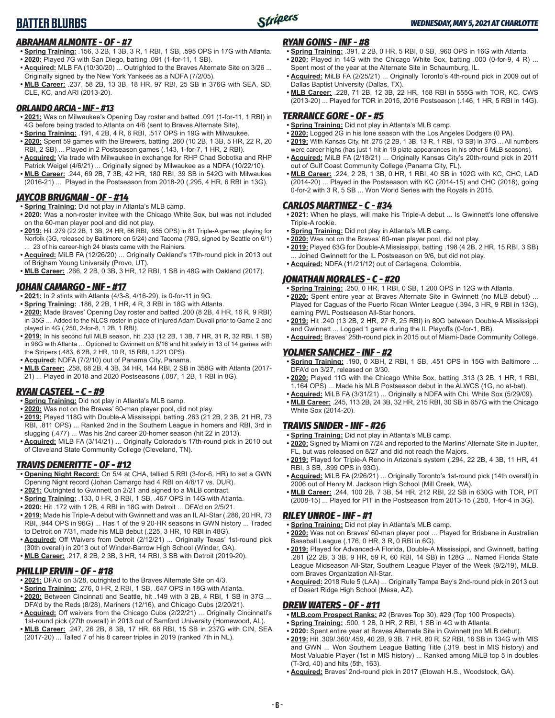## **BATTER BLURBS**



## *ABRAHAM ALMONTE - OF - #7*

- **• Spring Training:** .156, 3 2B, 1 3B, 3 R, 1 RBI, 1 SB, .595 OPS in 17G with Atlanta. **• 2020:** Played 7G with San Diego, batting .091 (1-for-11, 1 SB).
- **• Acquired:** MLB FA (10/30/20) ... Outrighted to the Braves Alternate Site on 3/26 ... Originally signed by the New York Yankees as a NDFA (7/2/05).
- **• MLB Career:** .237, 58 2B, 13 3B, 18 HR, 97 RBI, 25 SB in 376G with SEA, SD, CLE, KC, and ARI (2013-20).

### *ORLANDO ARCIA - INF - #13*

- **• 2021:** Was on Milwaukee's Opening Day roster and batted .091 (1-for-11, 1 RBI) in 4G before being traded to Atlanta on 4/6 (sent to Braves Alternate Site).
- **• Spring Training:** .191, 4 2B, 4 R, 6 RBI, .517 OPS in 19G with Milwaukee. **• 2020:** Spent 59 games with the Brewers, batting .260 (10 2B, 1 3B, 5 HR, 22 R, 20 RBI, 2 SB) ... Played in 2 Postseason games (.143, 1-for-7, 1 HR, 2 RBI).
- **• Acquired:** Via trade with Milwaukee in exchange for RHP Chad Sobotka and RHP Patrick Weigel (4/6/21) ... Originally signed by Milwaukee as a NDFA (10/22/10).
- **• MLB Career:** .244, 69 2B, 7 3B, 42 HR, 180 RBI, 39 SB in 542G with Milwaukee (2016-21) ... Played in the Postseason from 2018-20 (.295, 4 HR, 6 RBI in 13G).

## *JAYCOB BRUGMAN - OF - #14*

- **• Spring Training:** Did not play in Atlanta's MLB camp.
- **• 2020:** Was a non-roster invitee with the Chicago White Sox, but was not included on the 60-man player pool and did not play.
- **• 2019:** Hit .279 (22 2B, 1 3B, 24 HR, 66 RBI, .955 OPS) in 81 Triple-A games, playing for Norfolk (3G, released by Baltimore on 5/24) and Tacoma (78G, signed by Seattle on 6/1) 23 of his career-high 24 blasts came with the Rainiers.
- **• Acquired:** MiLB FA (12/26/20) ... Originally Oakland's 17th-round pick in 2013 out of Brigham Young University (Provo, UT).
- **• MLB Career:** .266, 2 2B, 0 3B, 3 HR, 12 RBI, 1 SB in 48G with Oakland (2017).

## *JOHAN CAMARGO - INF - #17*

- **• 2021:** In 2 stints with Atlanta (4/3-8, 4/16-29), is 0-for-11 in 9G.
- **• Spring Training:** .186, 2 2B, 1 HR, 4 R, 3 RBI in 18G with Atlanta.
- **• 2020:** Made Braves' Opening Day roster and batted .200 (8 2B, 4 HR, 16 R, 9 RBI) in 35G ... Added to the NLCS roster in place of injured Adam Duvall prior to Game 2 and played in 4G (.250, 2-for-8, 1 2B, 1 RBI).
- **• 2019:** In his second full MLB season, hit .233 (12 2B, 1 3B, 7 HR, 31 R, 32 RBI, 1 SB) in 98G with Atlanta ... Optioned to Gwinnett on 8/16 and hit safely in 13 of 14 games with the Stripers (.483, 6 2B, 2 HR, 10 R, 15 RBI, 1.221 OPS).
- **• Acquired:** NDFA (7/2/10) out of Panama City, Panama.
- **• MLB Career:** .258, 68 2B, 4 3B, 34 HR, 144 RBI, 2 SB in 358G with Atlanta (2017- 21) ... Played in 2018 and 2020 Postseasons (.087, 1 2B, 1 RBI in 8G).

## *RYAN CASTEEL - C - #9*

- **• Spring Training:** Did not play in Atlanta's MLB camp.
- **• 2020:** Was not on the Braves' 60-man player pool, did not play.
- **• 2019:** Played 118G with Double-A Mississippi, batting .263 (21 2B, 2 3B, 21 HR, 73 RBI, .811 OPS) ... Ranked 2nd in the Southern League in homers and RBI, 3rd in slugging (.477) ... Was his 2nd career 20-homer season (hit 22 in 2013).
- **• Acquired:** MiLB FA (3/14/21) ... Originally Colorado's 17th-round pick in 2010 out of Cleveland State Community College (Cleveland, TN).

## *TRAVIS DEMERITTE - OF - #12*

- **• Opening Night Record:** On 5/4 at CHA, tallied 5 RBI (3-for-6, HR) to set a GWN Opening Night record (Johan Camargo had 4 RBI on 4/6/17 vs. DUR).
- **• 2021:** Outrighted to Gwinnett on 2/21 and signed to a MiLB contract.
- **• Spring Training:** .133, 0 HR, 3 RBI, 1 SB, .467 OPS in 14G with Atlanta.
- **• 2020:** Hit .172 with 1 2B, 4 RBI in 18G with Detroit ... DFA'd on 2/5/21.
- **• 2019:** Made his Triple-A debut with Gwinnett and was an IL All-Star (.286, 20 HR, 73 RBI, .944 OPS in 96G) ... Has 1 of the 9 20-HR seasons in GWN history ... Traded to Detroit on 7/31, made his MLB debut (.225, 3 HR, 10 RBI in 48G).
- **• Acquired:** Off Waivers from Detroit (2/12/21) ... Originally Texas' 1st-round pick (30th overall) in 2013 out of Winder-Barrow High School (Winder, GA).
- **• MLB Career:** .217, 8 2B, 2 3B, 3 HR, 14 RBI, 3 SB with Detroit (2019-20).

## *PHILLIP ERVIN - OF - #18*

- **• 2021:** DFA'd on 3/28, outrighted to the Braves Alternate Site on 4/3.
- **• Spring Training:** .276, 0 HR, 2 RBI, 1 SB, .647 OPS in 18G with Atlanta. **• 2020:** Between Cincinnati and Seattle, hit .149 with 3 2B, 4 RBI, 1 SB in 37G ... DFA'd by the Reds (8/28), Mariners (12/16), and Chicago Cubs (2/20/21).
- **• Acquired:** Off waivers from the Chicago Cubs (2/22/21) ... Originally Cincinnati's 1st-round pick (27th overall) in 2013 out of Samford University (Homewood, AL).
- **• MLB Career:** .247, 26 2B, 8 3B, 17 HR, 68 RBI, 15 SB in 237G with CIN, SEA (2017-20) ... Talled 7 of his 8 career triples in 2019 (ranked 7th in NL).

## *RYAN GOINS - INF - #8*

- **• Spring Training:** .391, 2 2B, 0 HR, 5 RBI, 0 SB, .960 OPS in 16G with Atlanta. **• 2020:** Played in 14G with the Chicago White Sox, batting .000 (0-for-9, 4 R) ... Spent most of the year at the Alternate Site in Schaumburg, IL.
- **• Acquired:** MiLB FA (2/25/21) ... Originally Toronto's 4th-round pick in 2009 out of Dallas Baptist University (Dallas, TX).
- **• MLB Career:** .228, 71 2B, 12 3B, 22 HR, 158 RBI in 555G with TOR, KC, CWS (2013-20) ... Played for TOR in 2015, 2016 Postseason (.146, 1 HR, 5 RBI in 14G).

### *TERRANCE GORE - OF - #5*

- **• Spring Training:** Did not play in Atlanta's MLB camp.
- **• 2020:** Logged 2G in his lone season with the Los Angeles Dodgers (0 PA).
- **• 2019:** With Kansas City, hit .275 (2 2B, 1 3B, 13 R, 1 RBI, 13 SB) in 37G ... All numbers were career highs (has just 1 hit in 19 plate appearances in his other 6 MLB seasons).
- **• Acquired:** MiLB FA (2/18/21) ... Originally Kansas City's 20th-round pick in 2011 out of Gulf Coast Community College (Panama City, FL).
- **• MLB Career:** .224, 2 2B, 1 3B, 0 HR, 1 RBI, 40 SB in 102G with KC, CHC, LAD (2014-20) ... Played in the Postseason with KC (2014-15) and CHC (2018), going 0-for-2 with 3 R, 5 SB ... Won World Series with the Royals in 2015.

## *CARLOS MARTINEZ - C - #34*

- **• 2021:** When he plays, will make his Triple-A debut ... Is Gwinnett's lone offensive Triple-A rookie.
- **• Spring Training:** Did not play in Atlanta's MLB camp.
- **• 2020:** Was not on the Braves' 60-man player pool, did not play.
- **• 2019:** Played 63G for Double-A Mississippi, batting .198 (4 2B, 2 HR, 15 RBI, 3 SB) ... Joined Gwinnett for the IL Postseason on 9/6, but did not play.
- **• Acquired:** NDFA (11/21/12) out of Cartagena, Colombia.

## *JONATHAN MORALES - C - #20*

- **• Spring Training:** .250, 0 HR, 1 RBI, 0 SB, 1.200 OPS in 12G with Atlanta.
- **• 2020:** Spent entire year at Braves Alternate Site in Gwinnett (no MLB debut) ... Played for Caguas of the Puerto Rican Winter League (.394, 3 HR, 9 RBI in 13G), earning PWL Postseason All-Star honors.
- **• 2019:** Hit .240 (13 2B, 2 HR, 27 R, 25 RBI) in 80G between Double-A Mississippi and Gwinnett ... Logged 1 game during the IL Playoffs (0-for-1, BB).
- **• Acquired:** Braves' 25th-round pick in 2015 out of Miami-Dade Community College.

## *YOLMER SANCHEZ - INF - #2*

- **• Spring Training:** .190, 0 XBH, 2 RBI, 1 SB, .451 OPS in 15G with Baltimore ... DFA'd on 3/27, released on 3/30.
- **• 2020:** Played 11G with the Chicago White Sox, batting .313 (3 2B, 1 HR, 1 RBI, 1.164 OPS) ... Made his MLB Postseason debut in the ALWCS (1G, no at-bat).
- **• Acquired:** MiLB FA (3/31/21) ... Originally a NDFA with Chi. White Sox (5/29/09).
- **• MLB Career:** .245, 113 2B, 24 3B, 32 HR, 215 RBI, 30 SB in 657G with the Chicago White Sox (2014-20).

## *TRAVIS SNIDER - INF - #26*

- **• Spring Training:** Did not play in Atlanta's MLB camp.
- **• 2020:** Signed by Miami on 7/24 and reported to the Marlins' Alternate Site in Jupiter, FL, but was released on 8/27 and did not reach the Majors.
- **• 2019:** Played for Triple-A Reno in Arizona's system (.294, 22 2B, 4 3B, 11 HR, 41 RBI, 3 SB, .899 OPS in 93G).
- **• Acquired:** MiLB FA (2/26/21) ... Originally Toronto's 1st-round pick (14th overall) in 2006 out of Henry M. Jackson High School (Mill Creek, WA).
- **• MLB Career:** .244, 100 2B, 7 3B, 54 HR, 212 RBI, 22 SB in 630G with TOR, PIT (2008-15) ... Played for PIT in the Postseason from 2013-15 (.250, 1-for-4 in 3G).

## *RILEY UNROE - INF - #1*

- **• Spring Training:** Did not play in Atlanta's MLB camp.
- **• 2020:** Was not on Braves' 60-man player pool ... Played for Brisbane in Australian Baseball League (.176, 0 HR, 3 R, 0 RBI in 6G).
- **• 2019:** Played for Advanced-A Florida, Double-A Mississippi, and Gwinnett, batting .281 (22 2B, 3 3B, 9 HR, 59 R, 60 RBI, 14 SB) in 128G ... Named Florida State League Midseason All-Star, Southern League Player of the Week (9/2/19), MiLB. com Braves Organization All-Star.
- **• Acquired:** 2018 Rule 5 (LAA) ... Originally Tampa Bay's 2nd-round pick in 2013 out of Desert Ridge High School (Mesa, AZ).

## *DREW WATERS - OF - #11*

- **• MLB.com Prospect Ranks:** #2 (Braves Top 30), #29 (Top 100 Prospects).
- **• Spring Training:** .500, 1 2B, 0 HR, 2 RBI, 1 SB in 4G with Atlanta.
- **• 2020:** Spent entire year at Braves Alternate Site in Gwinnett (no MLB debut).
- **• 2019:** Hit .309/.360/.459, 40 2B, 9 3B, 7 HR, 80 R, 52 RBI, 16 SB in 134G with MIS and GWN ... Won Southern League Batting Title (.319, best in MIS history) and Most Valuable Player (1st in MIS history) ... Ranked among MiLB top 5 in doubles (T-3rd, 40) and hits (5th, 163).
- **• Acquired:** Braves' 2nd-round pick in 2017 (Etowah H.S., Woodstock, GA).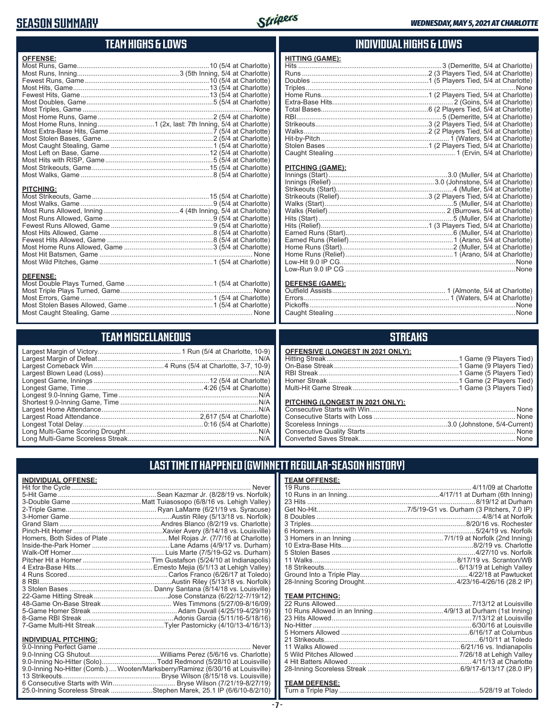## **SEASON SUMMARY**



## **TEAM HIGHS & LOWS**

| <b>OFFENSE:</b>                                                  |
|------------------------------------------------------------------|
|                                                                  |
|                                                                  |
|                                                                  |
|                                                                  |
|                                                                  |
|                                                                  |
|                                                                  |
|                                                                  |
| Most Home Runs, Inning1 (2x, last: 7th Inning, 5/4 at Charlotte) |
|                                                                  |
|                                                                  |
|                                                                  |
|                                                                  |
|                                                                  |
|                                                                  |
|                                                                  |
|                                                                  |
| <b>PITCHING:</b>                                                 |

## **TEAM MISCELLANEOUS**

Most Caught Stealing, Game ........................................................................... None

## **INDIVIDUAL HIGHS & LOWS**

#### **HITTING (GAME):** Hits ............................................................................3 (Demeritte, 5/4 at Charlotte) Runs ...................................................................2 (3 Players Tied, 5/4 at Charlotte) Doubles ..............................................................1 (5 Players Tied, 5/4 at Charlotte) Triples ...............................................................................................................None Home Runs.........................................................1 (2 Players Tied, 5/4 at Charlotte) Extra-Base Hits................................................................ 2 (Goins, 5/4 at Charlotte) Total Bases.........................................................6 (2 Players Tied, 5/4 at Charlotte) RBI.............................................................................5 (Demeritte, 5/4 at Charlotte) Strikeouts............................................................3 (2 Players Tied, 5/4 at Charlotte) Walks..................................................................2 (2 Players Tied, 5/4 at Charlotte) Hit-by-Pitch.................................................................... 1 (Waters, 5/4 at Charlotte) Stolen Bases ......................................................1 (2 Players Tied, 5/4 at Charlotte) Caught Stealing................................................................ 1 (Ervin, 5/4 at Charlotte)

#### **PITCHING (GAME):**

| <b>DEFENSE (GAME):</b> |                                        |
|------------------------|----------------------------------------|
|                        |                                        |
|                        |                                        |
|                        |                                        |
|                        | Caught Stealing <b>Caught Stealing</b> |

## **STREAKS**

Caught Stealing ................................................................................................None

| <b>OFFENSIVE (LONGEST IN 2021 ONLY):</b> |  |
|------------------------------------------|--|
|                                          |  |
|                                          |  |
|                                          |  |
|                                          |  |
|                                          |  |
| PITCHING (LONGEST IN 2021 ONLY):         |  |
|                                          |  |
|                                          |  |
|                                          |  |
|                                          |  |
|                                          |  |

## **LAST TIME IT HAPPENED (GWINNETT REGULAR-SEASON HISTORY)**

## **INDIVIDUAL OFFENSE:**

|                             | Homers, Both Sides of Plate  Mel Rojas Jr. (7/7/16 at Charlotte) |
|-----------------------------|------------------------------------------------------------------|
|                             |                                                                  |
|                             |                                                                  |
|                             |                                                                  |
|                             |                                                                  |
|                             |                                                                  |
|                             |                                                                  |
|                             |                                                                  |
|                             |                                                                  |
|                             |                                                                  |
|                             |                                                                  |
|                             |                                                                  |
|                             |                                                                  |
|                             |                                                                  |
| <b>INDIVIDUAL PITCHING:</b> |                                                                  |
|                             | Never                                                            |
|                             |                                                                  |
|                             | (6/28/10 at Louisville) Codd Redmond (5/28/10 at Louisville)     |

| 9.0-Inning No-Hitter (Solo)Todd Redmond (5/28/10 at Louisville)                |
|--------------------------------------------------------------------------------|
| 9.0-Inning No-Hitter (Comb.) Wooten/Marksberry/Ramirez (6/30/16 at Louisville) |
|                                                                                |
|                                                                                |
| 25.0-Inning Scoreless Streak Stephen Marek, 25.1 IP (6/6/10-8/2/10)            |

#### **- 7 -**

#### **TEAM PITCHING:**

## **TEAM DEFENSE:**

Turn a Triple Play ..........................................................................5/28/19 at Toledo